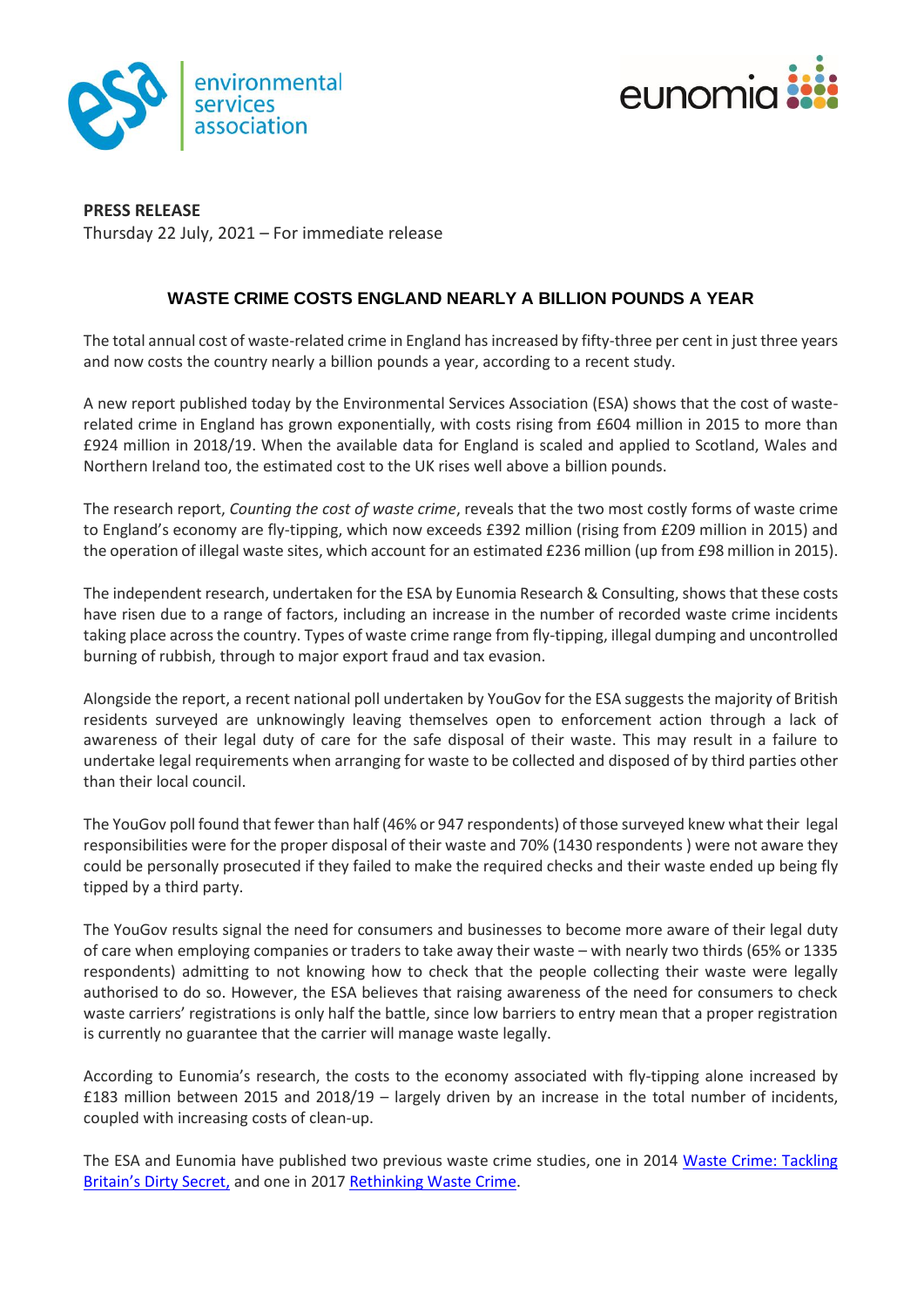



**PRESS RELEASE** Thursday 22 July, 2021 – For immediate release

## **WASTE CRIME COSTS ENGLAND NEARLY A BILLION POUNDS A YEAR**

The total annual cost of waste-related crime in England hasincreased by fifty-three per cent in just three years and now costs the country nearly a billion pounds a year, according to a recent study.

A new report published today by the Environmental Services Association (ESA) shows that the cost of wasterelated crime in England has grown exponentially, with costs rising from £604 million in 2015 to more than £924 million in 2018/19. When the available data for England is scaled and applied to Scotland, Wales and Northern Ireland too, the estimated cost to the UK rises well above a billion pounds.

The research report, *Counting the cost of waste crime*, reveals that the two most costly forms of waste crime to England's economy are fly-tipping, which now exceeds £392 million (rising from £209 million in 2015) and the operation of illegal waste sites, which account for an estimated £236 million (up from £98 million in 2015).

The independent research, undertaken for the ESA by Eunomia Research & Consulting, shows that these costs have risen due to a range of factors, including an increase in the number of recorded waste crime incidents taking place across the country. Types of waste crime range from fly-tipping, illegal dumping and uncontrolled burning of rubbish, through to major export fraud and tax evasion.

Alongside the report, a recent national poll undertaken by YouGov for the ESA suggests the majority of British residents surveyed are unknowingly leaving themselves open to enforcement action through a lack of awareness of their legal duty of care for the safe disposal of their waste. This may result in a failure to undertake legal requirements when arranging for waste to be collected and disposed of by third parties other than their local council.

The YouGov poll found that fewer than half (46% or 947 respondents) of those surveyed knew what their legal responsibilities were for the proper disposal of their waste and 70% (1430 respondents ) were not aware they could be personally prosecuted if they failed to make the required checks and their waste ended up being fly tipped by a third party.

The YouGov results signal the need for consumers and businesses to become more aware of their legal duty of care when employing companies or traders to take away their waste – with nearly two thirds (65% or 1335 respondents) admitting to not knowing how to check that the people collecting their waste were legally authorised to do so. However, the ESA believes that raising awareness of the need for consumers to check waste carriers' registrations is only half the battle, since low barriers to entry mean that a proper registration is currently no guarantee that the carrier will manage waste legally.

According to Eunomia's research, the costs to the economy associated with fly-tipping alone increased by £183 million between 2015 and 2018/19 – largely driven by an increase in the total number of incidents, coupled with increasing costs of clean-up.

The ESA and Eunomia have published two previous waste crime studies, one in 2014 [Waste Crime: Tackling](https://www.eunomia.co.uk/reports-tools/waste-crime-tackling-britains-dirty-secret/)  [Britain's Dirty Secret](https://www.eunomia.co.uk/reports-tools/waste-crime-tackling-britains-dirty-secret/), and one in 2017 [Rethinking Waste Crime.](https://www.eunomia.co.uk/waste-crime-costs-england-600m-a-year/)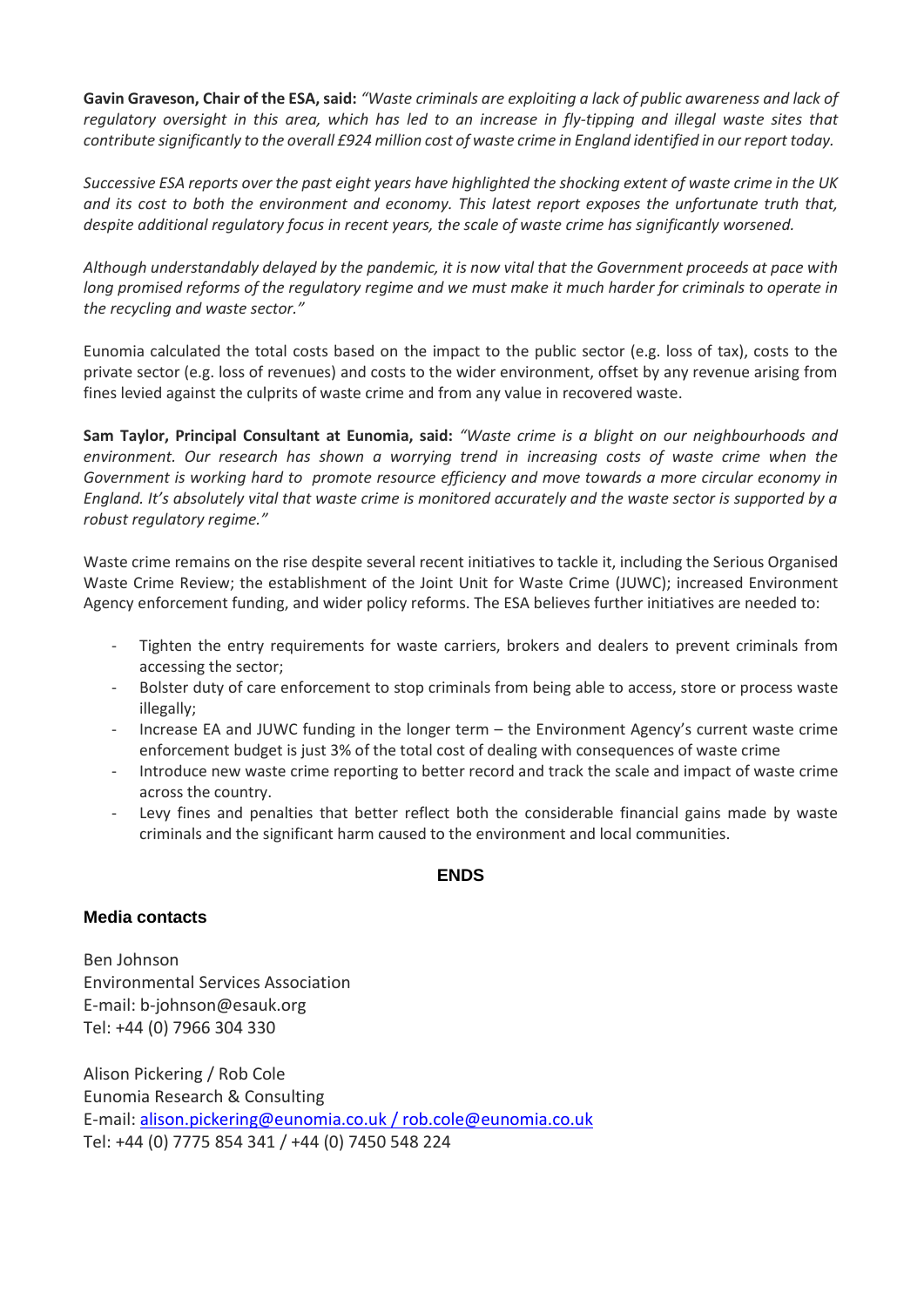**Gavin Graveson, Chair of the ESA, said:** *"Waste criminals are exploiting a lack of public awareness and lack of regulatory oversight in this area, which has led to an increase in fly-tipping and illegal waste sites that contribute significantly to the overall £924 million cost of waste crime in England identified in our report today.*

*Successive ESA reports over the past eight years have highlighted the shocking extent of waste crime in the UK and its cost to both the environment and economy. This latest report exposes the unfortunate truth that, despite additional regulatory focus in recent years, the scale of waste crime has significantly worsened.*

*Although understandably delayed by the pandemic, it is now vital that the Government proceeds at pace with long promised reforms of the regulatory regime and we must make it much harder for criminals to operate in the recycling and waste sector."* 

Eunomia calculated the total costs based on the impact to the public sector (e.g. loss of tax), costs to the private sector (e.g. loss of revenues) and costs to the wider environment, offset by any revenue arising from fines levied against the culprits of waste crime and from any value in recovered waste.

**Sam Taylor, Principal Consultant at Eunomia, said:** *"Waste crime is a blight on our neighbourhoods and environment. Our research has shown a worrying trend in increasing costs of waste crime when the Government is working hard to promote resource efficiency and move towards a more circular economy in England. It's absolutely vital that waste crime is monitored accurately and the waste sector is supported by a robust regulatory regime."*

Waste crime remains on the rise despite several recent initiatives to tackle it, including the Serious Organised Waste Crime Review; the establishment of the Joint Unit for Waste Crime (JUWC); increased Environment Agency enforcement funding, and wider policy reforms. The ESA believes further initiatives are needed to:

- Tighten the entry requirements for waste carriers, brokers and dealers to prevent criminals from accessing the sector;
- Bolster duty of care enforcement to stop criminals from being able to access, store or process waste illegally;
- Increase EA and JUWC funding in the longer term the Environment Agency's current waste crime enforcement budget is just 3% of the total cost of dealing with consequences of waste crime
- Introduce new waste crime reporting to better record and track the scale and impact of waste crime across the country.
- Levy fines and penalties that better reflect both the considerable financial gains made by waste criminals and the significant harm caused to the environment and local communities.

## **ENDS**

## **Media contacts**

Ben Johnson Environmental Services Association E-mail: b-johnson@esauk.org Tel: +44 (0) 7966 304 330

Alison Pickering / Rob Cole Eunomia Research & Consulting E-mail: [alison.pickering@eunomia.co.uk](mailto:alison.pickering@eunomia.co.uk) / rob.cole@eunomia.co.uk Tel: +44 (0) 7775 854 341 / +44 (0) 7450 548 224